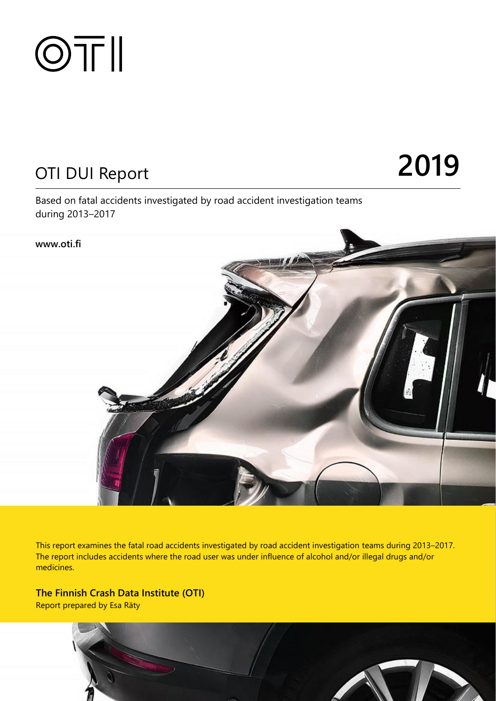

# OTI DUI Report **2019**

Based on fatal accidents investigated by road accident investigation teams during 2013–2017



This report examines the fatal road accidents investigated by road accident investigation teams during 2013–2017. The report includes accidents where the road user was under influence of alcohol and/or illegal drugs and/or medicines.

**The Finnish Crash Data Institute (OTI)** Report prepared by Esa Räty

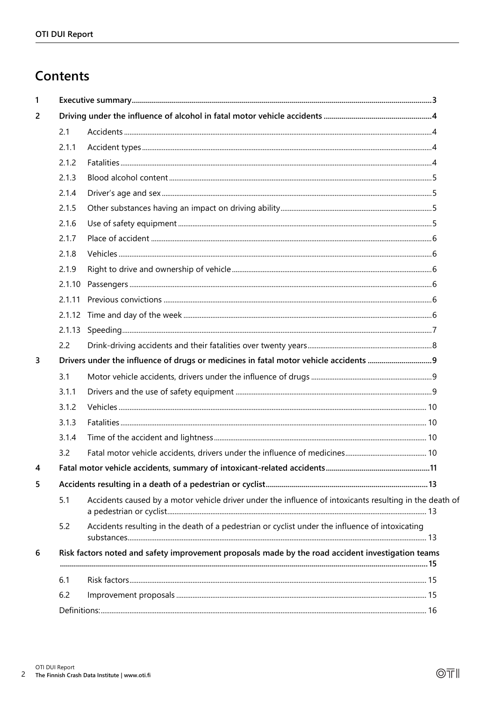## Contents

| 1              |                                                                                                   |                                                                                                         |  |  |  |  |  |  |  |  |
|----------------|---------------------------------------------------------------------------------------------------|---------------------------------------------------------------------------------------------------------|--|--|--|--|--|--|--|--|
| $\overline{2}$ |                                                                                                   |                                                                                                         |  |  |  |  |  |  |  |  |
|                | 2.1                                                                                               |                                                                                                         |  |  |  |  |  |  |  |  |
|                | 2.1.1                                                                                             |                                                                                                         |  |  |  |  |  |  |  |  |
|                | 2.1.2                                                                                             |                                                                                                         |  |  |  |  |  |  |  |  |
|                | 2.1.3                                                                                             |                                                                                                         |  |  |  |  |  |  |  |  |
|                | 2.1.4                                                                                             |                                                                                                         |  |  |  |  |  |  |  |  |
|                | 2.1.5                                                                                             |                                                                                                         |  |  |  |  |  |  |  |  |
|                | 2.1.6                                                                                             |                                                                                                         |  |  |  |  |  |  |  |  |
|                | 2.1.7                                                                                             |                                                                                                         |  |  |  |  |  |  |  |  |
|                | 2.1.8                                                                                             |                                                                                                         |  |  |  |  |  |  |  |  |
|                | 2.1.9                                                                                             |                                                                                                         |  |  |  |  |  |  |  |  |
|                |                                                                                                   |                                                                                                         |  |  |  |  |  |  |  |  |
|                | 2.1.11                                                                                            |                                                                                                         |  |  |  |  |  |  |  |  |
|                |                                                                                                   |                                                                                                         |  |  |  |  |  |  |  |  |
|                |                                                                                                   |                                                                                                         |  |  |  |  |  |  |  |  |
|                | 2.2                                                                                               |                                                                                                         |  |  |  |  |  |  |  |  |
| 3              |                                                                                                   |                                                                                                         |  |  |  |  |  |  |  |  |
|                | 3.1                                                                                               |                                                                                                         |  |  |  |  |  |  |  |  |
|                | 3.1.1                                                                                             |                                                                                                         |  |  |  |  |  |  |  |  |
|                | 3.1.2                                                                                             |                                                                                                         |  |  |  |  |  |  |  |  |
|                | 3.1.3                                                                                             |                                                                                                         |  |  |  |  |  |  |  |  |
|                | 3.1.4                                                                                             |                                                                                                         |  |  |  |  |  |  |  |  |
|                | 3.2                                                                                               |                                                                                                         |  |  |  |  |  |  |  |  |
| 4              |                                                                                                   |                                                                                                         |  |  |  |  |  |  |  |  |
| 5              |                                                                                                   |                                                                                                         |  |  |  |  |  |  |  |  |
|                | 5.1                                                                                               | Accidents caused by a motor vehicle driver under the influence of intoxicants resulting in the death of |  |  |  |  |  |  |  |  |
|                | 5.2                                                                                               | Accidents resulting in the death of a pedestrian or cyclist under the influence of intoxicating         |  |  |  |  |  |  |  |  |
| 6              | Risk factors noted and safety improvement proposals made by the road accident investigation teams |                                                                                                         |  |  |  |  |  |  |  |  |
|                | 6.1                                                                                               |                                                                                                         |  |  |  |  |  |  |  |  |
|                | 6.2                                                                                               |                                                                                                         |  |  |  |  |  |  |  |  |
|                |                                                                                                   |                                                                                                         |  |  |  |  |  |  |  |  |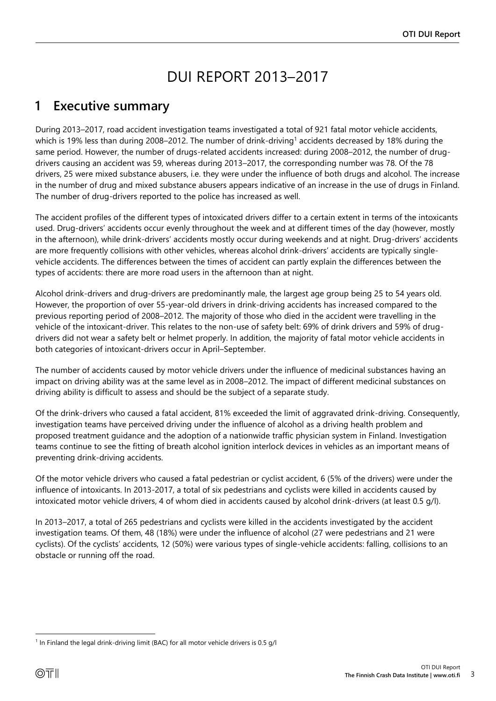## DUI REPORT 2013–2017

## <span id="page-2-0"></span>**1 Executive summary**

During 2013–2017, road accident investigation teams investigated a total of 921 fatal motor vehicle accidents, which is 19% less than during 2008–2012. The number of drink-driving<sup>1</sup> accidents decreased by 18% during the same period. However, the number of drugs-related accidents increased: during 2008–2012, the number of drugdrivers causing an accident was 59, whereas during 2013–2017, the corresponding number was 78. Of the 78 drivers, 25 were mixed substance abusers, i.e. they were under the influence of both drugs and alcohol. The increase in the number of drug and mixed substance abusers appears indicative of an increase in the use of drugs in Finland. The number of drug-drivers reported to the police has increased as well.

The accident profiles of the different types of intoxicated drivers differ to a certain extent in terms of the intoxicants used. Drug-drivers' accidents occur evenly throughout the week and at different times of the day (however, mostly in the afternoon), while drink-drivers' accidents mostly occur during weekends and at night. Drug-drivers' accidents are more frequently collisions with other vehicles, whereas alcohol drink-drivers' accidents are typically singlevehicle accidents. The differences between the times of accident can partly explain the differences between the types of accidents: there are more road users in the afternoon than at night.

Alcohol drink-drivers and drug-drivers are predominantly male, the largest age group being 25 to 54 years old. However, the proportion of over 55-year-old drivers in drink-driving accidents has increased compared to the previous reporting period of 2008–2012. The majority of those who died in the accident were travelling in the vehicle of the intoxicant-driver. This relates to the non-use of safety belt: 69% of drink drivers and 59% of drugdrivers did not wear a safety belt or helmet properly. In addition, the majority of fatal motor vehicle accidents in both categories of intoxicant-drivers occur in April–September.

The number of accidents caused by motor vehicle drivers under the influence of medicinal substances having an impact on driving ability was at the same level as in 2008–2012. The impact of different medicinal substances on driving ability is difficult to assess and should be the subject of a separate study.

Of the drink-drivers who caused a fatal accident, 81% exceeded the limit of aggravated drink-driving. Consequently, investigation teams have perceived driving under the influence of alcohol as a driving health problem and proposed treatment guidance and the adoption of a nationwide traffic physician system in Finland. Investigation teams continue to see the fitting of breath alcohol ignition interlock devices in vehicles as an important means of preventing drink-driving accidents.

Of the motor vehicle drivers who caused a fatal pedestrian or cyclist accident, 6 (5% of the drivers) were under the influence of intoxicants. In 2013-2017, a total of six pedestrians and cyclists were killed in accidents caused by intoxicated motor vehicle drivers, 4 of whom died in accidents caused by alcohol drink-drivers (at least 0.5 g/l).

In 2013–2017, a total of 265 pedestrians and cyclists were killed in the accidents investigated by the accident investigation teams. Of them, 48 (18%) were under the influence of alcohol (27 were pedestrians and 21 were cyclists). Of the cyclists' accidents, 12 (50%) were various types of single-vehicle accidents: falling, collisions to an obstacle or running off the road.

l

<sup>&</sup>lt;sup>1</sup> In Finland the legal drink-driving limit (BAC) for all motor vehicle drivers is 0.5 g/l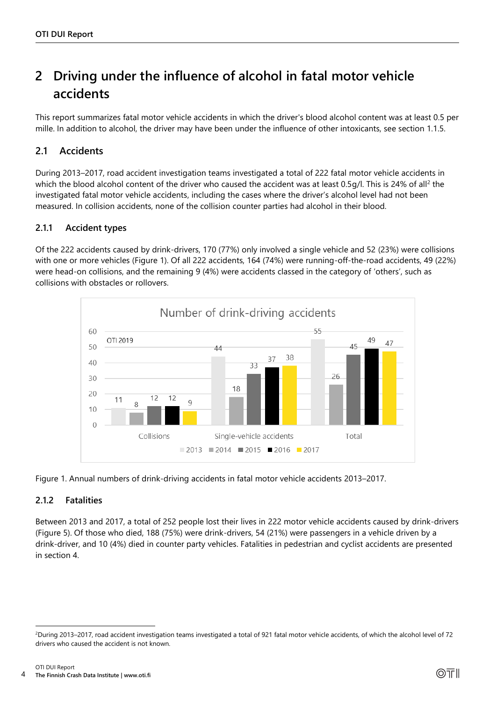## <span id="page-3-0"></span>**2 Driving under the influence of alcohol in fatal motor vehicle accidents**

This report summarizes fatal motor vehicle accidents in which the driver's blood alcohol content was at least 0.5 per mille. In addition to alcohol, the driver may have been under the influence of other intoxicants, see section 1.1.5.

### <span id="page-3-1"></span>**2.1 Accidents**

During 2013–2017, road accident investigation teams investigated a total of 222 fatal motor vehicle accidents in which the blood alcohol content of the driver who caused the accident was at least 0.5g/l. This is 24% of all<sup>2</sup> the investigated fatal motor vehicle accidents, including the cases where the driver's alcohol level had not been measured. In collision accidents, none of the collision counter parties had alcohol in their blood.

#### <span id="page-3-2"></span>**2.1.1 Accident types**

Of the 222 accidents caused by drink-drivers, 170 (77%) only involved a single vehicle and 52 (23%) were collisions with one or more vehicles (Figure 1). Of all 222 accidents, 164 (74%) were running-off-the-road accidents, 49 (22%) were head-on collisions, and the remaining 9 (4%) were accidents classed in the category of 'others', such as collisions with obstacles or rollovers.



Figure 1. Annual numbers of drink-driving accidents in fatal motor vehicle accidents 2013–2017.

#### <span id="page-3-3"></span>**2.1.2 Fatalities**

l

Between 2013 and 2017, a total of 252 people lost their lives in 222 motor vehicle accidents caused by drink-drivers (Figure 5). Of those who died, 188 (75%) were drink-drivers, 54 (21%) were passengers in a vehicle driven by a drink-driver, and 10 (4%) died in counter party vehicles. Fatalities in pedestrian and cyclist accidents are presented in section 4.

<sup>2</sup>During 2013–2017, road accident investigation teams investigated a total of 921 fatal motor vehicle accidents, of which the alcohol level of 72 drivers who caused the accident is not known.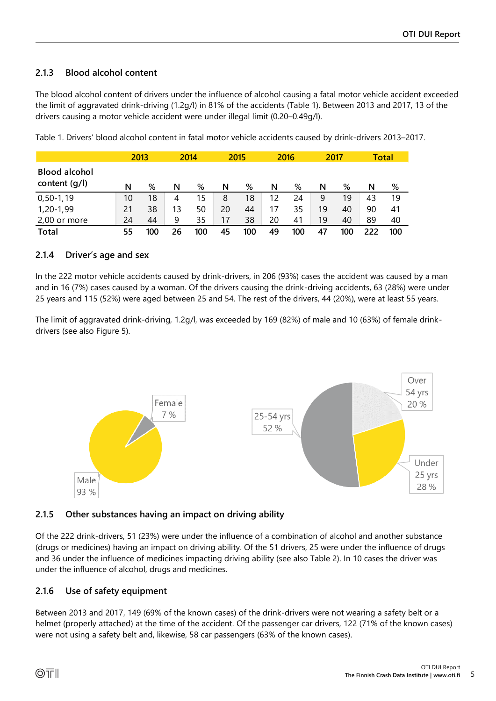#### <span id="page-4-0"></span>**2.1.3 Blood alcohol content**

The blood alcohol content of drivers under the influence of alcohol causing a fatal motor vehicle accident exceeded the limit of aggravated drink-driving (1.2g/l) in 81% of the accidents (Table 1). Between 2013 and 2017, 13 of the drivers causing a motor vehicle accident were under illegal limit (0.20–0.49g/l).

|                                         |    | 2013 | 2014 |     | 2015 |     | 2016 |     | 2017 |     | Total |     |
|-----------------------------------------|----|------|------|-----|------|-----|------|-----|------|-----|-------|-----|
| <b>Blood alcohol</b><br>content $(q/l)$ | N  | %    | N    | %   | N    | %   | N    | %   | N    | %   | N     | %   |
| $0, 50 - 1, 19$                         | 10 | 18   | 4    | 15  | 8    | 18  | 12   | 24  | 9    | 19  | 43    | 19  |
| 1,20-1,99                               | 21 | 38   | 13   | 50  | 20   | 44  | 17   | 35  | 19   | 40  | 90    | 41  |
| 2,00 or more                            | 24 | 44   | 9    | 35  | 17   | 38  | 20   | 41  | 19   | 40  | 89    | 40  |
| <b>Total</b>                            | 55 | 100  | 26   | 100 | 45   | 100 | 49   | 100 | 47   | 100 |       | 100 |

Table 1. Drivers' blood alcohol content in fatal motor vehicle accidents caused by drink-drivers 2013–2017.

#### <span id="page-4-1"></span>**2.1.4 Driver's age and sex**

In the 222 motor vehicle accidents caused by drink-drivers, in 206 (93%) cases the accident was caused by a man and in 16 (7%) cases caused by a woman. Of the drivers causing the drink-driving accidents, 63 (28%) were under 25 years and 115 (52%) were aged between 25 and 54. The rest of the drivers, 44 (20%), were at least 55 years.

The limit of aggravated drink-driving, 1.2g/l, was exceeded by 169 (82%) of male and 10 (63%) of female drinkdrivers (see also Figure 5).



<span id="page-4-2"></span>

Of the 222 drink-drivers, 51 (23%) were under the influence of a combination of alcohol and another substance (drugs or medicines) having an impact on driving ability. Of the 51 drivers, 25 were under the influence of drugs and 36 under the influence of medicines impacting driving ability (see also Table 2). In 10 cases the driver was under the influence of alcohol, drugs and medicines.

#### <span id="page-4-3"></span>**2.1.6 Use of safety equipment**

Between 2013 and 2017, 149 (69% of the known cases) of the drink-drivers were not wearing a safety belt or a helmet (properly attached) at the time of the accident. Of the passenger car drivers, 122 (71% of the known cases) were not using a safety belt and, likewise, 58 car passengers (63% of the known cases).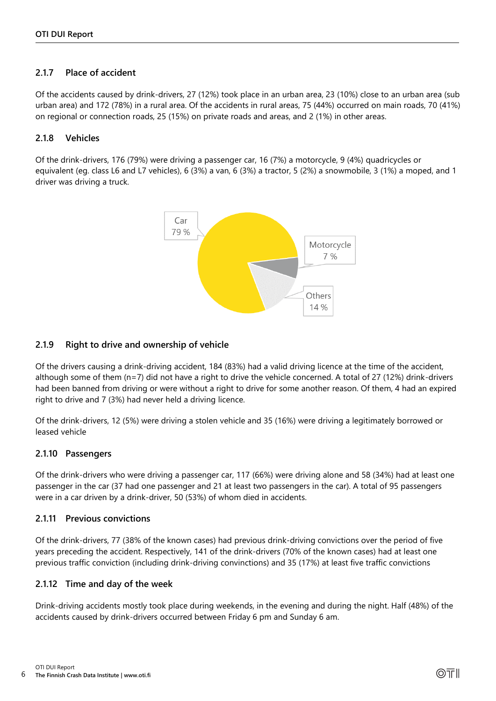#### <span id="page-5-0"></span>**2.1.7 Place of accident**

Of the accidents caused by drink-drivers, 27 (12%) took place in an urban area, 23 (10%) close to an urban area (sub urban area) and 172 (78%) in a rural area. Of the accidents in rural areas, 75 (44%) occurred on main roads, 70 (41%) on regional or connection roads, 25 (15%) on private roads and areas, and 2 (1%) in other areas.

#### <span id="page-5-1"></span>**2.1.8 Vehicles**

Of the drink-drivers, 176 (79%) were driving a passenger car, 16 (7%) a motorcycle, 9 (4%) quadricycles or equivalent (eg. class L6 and L7 vehicles), 6 (3%) a van, 6 (3%) a tractor, 5 (2%) a snowmobile, 3 (1%) a moped, and 1 driver was driving a truck.



#### <span id="page-5-2"></span>**2.1.9 Right to drive and ownership of vehicle**

Of the drivers causing a drink-driving accident, 184 (83%) had a valid driving licence at the time of the accident, although some of them (n=7) did not have a right to drive the vehicle concerned. A total of 27 (12%) drink-drivers had been banned from driving or were without a right to drive for some another reason. Of them, 4 had an expired right to drive and 7 (3%) had never held a driving licence.

Of the drink-drivers, 12 (5%) were driving a stolen vehicle and 35 (16%) were driving a legitimately borrowed or leased vehicle

#### <span id="page-5-3"></span>**2.1.10 Passengers**

Of the drink-drivers who were driving a passenger car, 117 (66%) were driving alone and 58 (34%) had at least one passenger in the car (37 had one passenger and 21 at least two passengers in the car). A total of 95 passengers were in a car driven by a drink-driver, 50 (53%) of whom died in accidents.

#### <span id="page-5-4"></span>**2.1.11 Previous convictions**

Of the drink-drivers, 77 (38% of the known cases) had previous drink-driving convictions over the period of five years preceding the accident. Respectively, 141 of the drink-drivers (70% of the known cases) had at least one previous traffic conviction (including drink-driving convinctions) and 35 (17%) at least five traffic convictions

#### <span id="page-5-5"></span>**2.1.12 Time and day of the week**

Drink-driving accidents mostly took place during weekends, in the evening and during the night. Half (48%) of the accidents caused by drink-drivers occurred between Friday 6 pm and Sunday 6 am.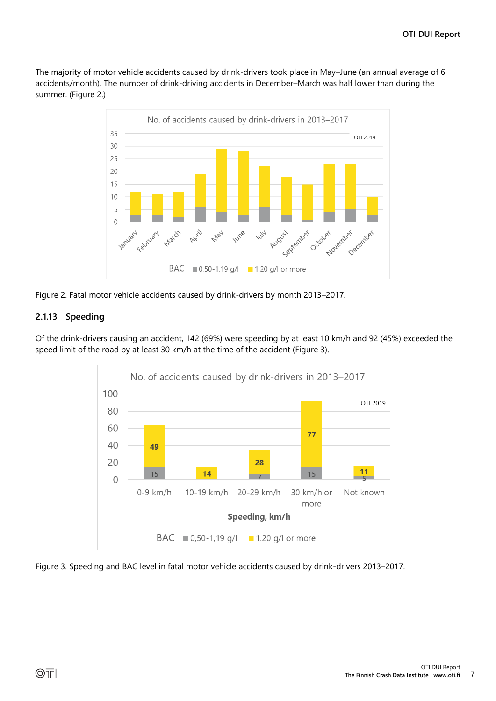The majority of motor vehicle accidents caused by drink-drivers took place in May–June (an annual average of 6 accidents/month). The number of drink-driving accidents in December–March was half lower than during the summer. (Figure 2.)



Figure 2. Fatal motor vehicle accidents caused by drink-drivers by month 2013–2017.

#### <span id="page-6-0"></span>**2.1.13 Speeding**

Of the drink-drivers causing an accident, 142 (69%) were speeding by at least 10 km/h and 92 (45%) exceeded the speed limit of the road by at least 30 km/h at the time of the accident (Figure 3).



Figure 3. Speeding and BAC level in fatal motor vehicle accidents caused by drink-drivers 2013–2017.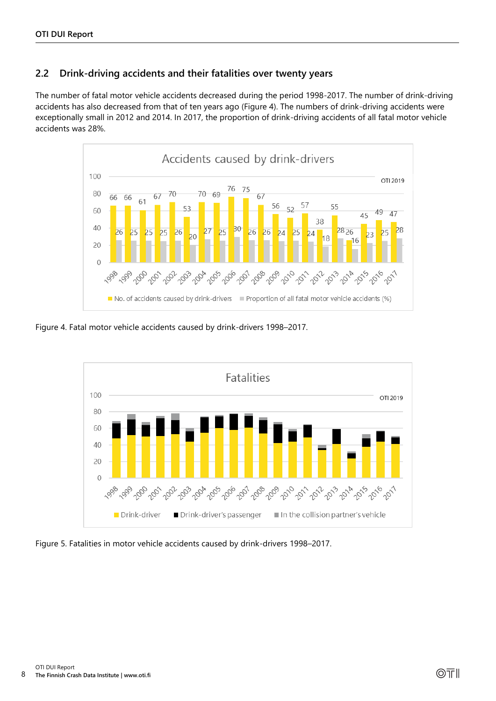#### <span id="page-7-0"></span>**2.2 Drink-driving accidents and their fatalities over twenty years**

The number of fatal motor vehicle accidents decreased during the period 1998-2017. The number of drink-driving accidents has also decreased from that of ten years ago (Figure 4). The numbers of drink-driving accidents were exceptionally small in 2012 and 2014. In 2017, the proportion of drink-driving accidents of all fatal motor vehicle accidents was 28%.



Figure 4. Fatal motor vehicle accidents caused by drink-drivers 1998–2017.



Figure 5. Fatalities in motor vehicle accidents caused by drink-drivers 1998–2017.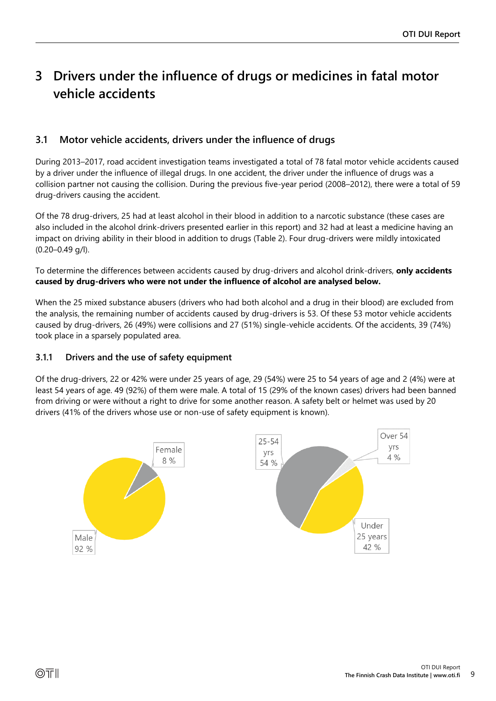## <span id="page-8-0"></span>**3 Drivers under the influence of drugs or medicines in fatal motor vehicle accidents**

#### <span id="page-8-1"></span>**3.1 Motor vehicle accidents, drivers under the influence of drugs**

During 2013–2017, road accident investigation teams investigated a total of 78 fatal motor vehicle accidents caused by a driver under the influence of illegal drugs. In one accident, the driver under the influence of drugs was a collision partner not causing the collision. During the previous five-year period (2008–2012), there were a total of 59 drug-drivers causing the accident.

Of the 78 drug-drivers, 25 had at least alcohol in their blood in addition to a narcotic substance (these cases are also included in the alcohol drink-drivers presented earlier in this report) and 32 had at least a medicine having an impact on driving ability in their blood in addition to drugs (Table 2). Four drug-drivers were mildly intoxicated (0.20–0.49 g/l).

To determine the differences between accidents caused by drug-drivers and alcohol drink-drivers, **only accidents caused by drug-drivers who were not under the influence of alcohol are analysed below.**

When the 25 mixed substance abusers (drivers who had both alcohol and a drug in their blood) are excluded from the analysis, the remaining number of accidents caused by drug-drivers is 53. Of these 53 motor vehicle accidents caused by drug-drivers, 26 (49%) were collisions and 27 (51%) single-vehicle accidents. Of the accidents, 39 (74%) took place in a sparsely populated area.

#### <span id="page-8-2"></span>**3.1.1 Drivers and the use of safety equipment**

Of the drug-drivers, 22 or 42% were under 25 years of age, 29 (54%) were 25 to 54 years of age and 2 (4%) were at least 54 years of age. 49 (92%) of them were male. A total of 15 (29% of the known cases) drivers had been banned from driving or were without a right to drive for some another reason. A safety belt or helmet was used by 20 drivers (41% of the drivers whose use or non-use of safety equipment is known).

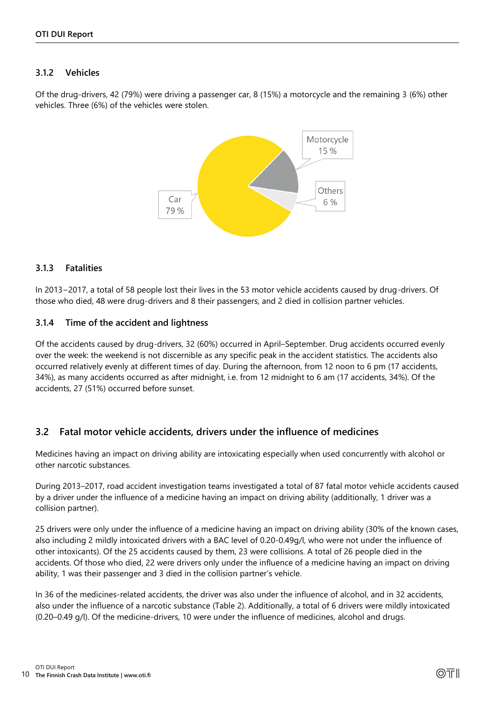#### <span id="page-9-0"></span>**3.1.2 Vehicles**

Of the drug-drivers, 42 (79%) were driving a passenger car, 8 (15%) a motorcycle and the remaining 3 (6%) other vehicles. Three (6%) of the vehicles were stolen.



#### <span id="page-9-1"></span>**3.1.3 Fatalities**

In 2013−2017, a total of 58 people lost their lives in the 53 motor vehicle accidents caused by drug-drivers. Of those who died, 48 were drug-drivers and 8 their passengers, and 2 died in collision partner vehicles.

#### <span id="page-9-2"></span>**3.1.4 Time of the accident and lightness**

Of the accidents caused by drug-drivers, 32 (60%) occurred in April–September. Drug accidents occurred evenly over the week: the weekend is not discernible as any specific peak in the accident statistics. The accidents also occurred relatively evenly at different times of day. During the afternoon, from 12 noon to 6 pm (17 accidents, 34%), as many accidents occurred as after midnight, i.e. from 12 midnight to 6 am (17 accidents, 34%). Of the accidents, 27 (51%) occurred before sunset.

#### <span id="page-9-3"></span>**3.2 Fatal motor vehicle accidents, drivers under the influence of medicines**

Medicines having an impact on driving ability are intoxicating especially when used concurrently with alcohol or other narcotic substances.

During 2013–2017, road accident investigation teams investigated a total of 87 fatal motor vehicle accidents caused by a driver under the influence of a medicine having an impact on driving ability (additionally, 1 driver was a collision partner).

25 drivers were only under the influence of a medicine having an impact on driving ability (30% of the known cases, also including 2 mildly intoxicated drivers with a BAC level of 0.20-0.49g/l, who were not under the influence of other intoxicants). Of the 25 accidents caused by them, 23 were collisions. A total of 26 people died in the accidents. Of those who died, 22 were drivers only under the influence of a medicine having an impact on driving ability, 1 was their passenger and 3 died in the collision partner's vehicle.

In 36 of the medicines-related accidents, the driver was also under the influence of alcohol, and in 32 accidents, also under the influence of a narcotic substance (Table 2). Additionally, a total of 6 drivers were mildly intoxicated (0.20–0.49 g/l). Of the medicine-drivers, 10 were under the influence of medicines, alcohol and drugs.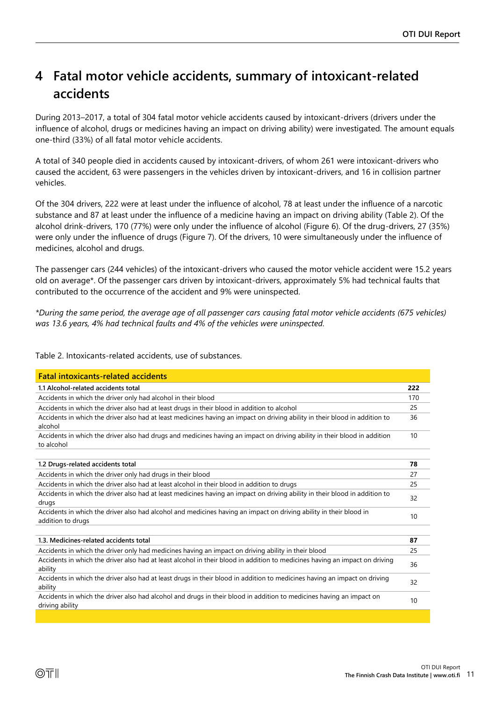## <span id="page-10-0"></span>**4 Fatal motor vehicle accidents, summary of intoxicant-related accidents**

During 2013–2017, a total of 304 fatal motor vehicle accidents caused by intoxicant-drivers (drivers under the influence of alcohol, drugs or medicines having an impact on driving ability) were investigated. The amount equals one-third (33%) of all fatal motor vehicle accidents.

A total of 340 people died in accidents caused by intoxicant-drivers, of whom 261 were intoxicant-drivers who caused the accident, 63 were passengers in the vehicles driven by intoxicant-drivers, and 16 in collision partner vehicles.

Of the 304 drivers, 222 were at least under the influence of alcohol, 78 at least under the influence of a narcotic substance and 87 at least under the influence of a medicine having an impact on driving ability (Table 2). Of the alcohol drink-drivers, 170 (77%) were only under the influence of alcohol (Figure 6). Of the drug-drivers, 27 (35%) were only under the influence of drugs (Figure 7). Of the drivers, 10 were simultaneously under the influence of medicines, alcohol and drugs.

The passenger cars (244 vehicles) of the intoxicant-drivers who caused the motor vehicle accident were 15.2 years old on average\*. Of the passenger cars driven by intoxicant-drivers, approximately 5% had technical faults that contributed to the occurrence of the accident and 9% were uninspected.

*\*During the same period, the average age of all passenger cars causing fatal motor vehicle accidents (675 vehicles) was 13.6 years, 4% had technical faults and 4% of the vehicles were uninspected.*

Table 2. Intoxicants-related accidents, use of substances.

| 222<br>170<br>25<br>36<br>10<br>78<br>27<br>25<br>32<br>10<br>87<br>25<br>36<br>32<br>10 | <b>Fatal intoxicants-related accidents</b>                                                                                              |  |  |  |  |
|------------------------------------------------------------------------------------------|-----------------------------------------------------------------------------------------------------------------------------------------|--|--|--|--|
|                                                                                          | 1.1 Alcohol-related accidents total                                                                                                     |  |  |  |  |
|                                                                                          | Accidents in which the driver only had alcohol in their blood                                                                           |  |  |  |  |
|                                                                                          | Accidents in which the driver also had at least drugs in their blood in addition to alcohol                                             |  |  |  |  |
|                                                                                          | Accidents in which the driver also had at least medicines having an impact on driving ability in their blood in addition to<br>alcohol  |  |  |  |  |
|                                                                                          | Accidents in which the driver also had drugs and medicines having an impact on driving ability in their blood in addition<br>to alcohol |  |  |  |  |
|                                                                                          |                                                                                                                                         |  |  |  |  |
|                                                                                          | 1.2 Drugs-related accidents total                                                                                                       |  |  |  |  |
|                                                                                          | Accidents in which the driver only had drugs in their blood                                                                             |  |  |  |  |
|                                                                                          | Accidents in which the driver also had at least alcohol in their blood in addition to drugs                                             |  |  |  |  |
|                                                                                          | Accidents in which the driver also had at least medicines having an impact on driving ability in their blood in addition to<br>drugs    |  |  |  |  |
|                                                                                          | Accidents in which the driver also had alcohol and medicines having an impact on driving ability in their blood in<br>addition to drugs |  |  |  |  |
|                                                                                          |                                                                                                                                         |  |  |  |  |
|                                                                                          | 1.3. Medicines-related accidents total                                                                                                  |  |  |  |  |
|                                                                                          | Accidents in which the driver only had medicines having an impact on driving ability in their blood                                     |  |  |  |  |
|                                                                                          | Accidents in which the driver also had at least alcohol in their blood in addition to medicines having an impact on driving<br>ability  |  |  |  |  |
|                                                                                          | Accidents in which the driver also had at least drugs in their blood in addition to medicines having an impact on driving<br>ability    |  |  |  |  |
|                                                                                          | Accidents in which the driver also had alcohol and drugs in their blood in addition to medicines having an impact on<br>driving ability |  |  |  |  |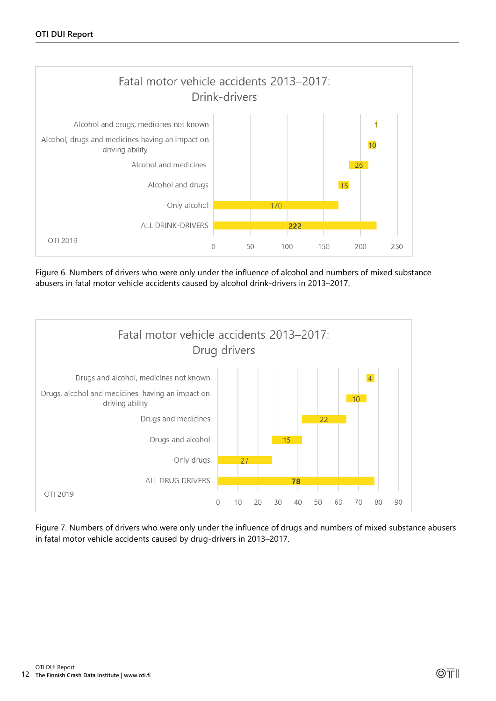

Figure 6. Numbers of drivers who were only under the influence of alcohol and numbers of mixed substance abusers in fatal motor vehicle accidents caused by alcohol drink-drivers in 2013–2017.



Figure 7. Numbers of drivers who were only under the influence of drugs and numbers of mixed substance abusers in fatal motor vehicle accidents caused by drug-drivers in 2013–2017.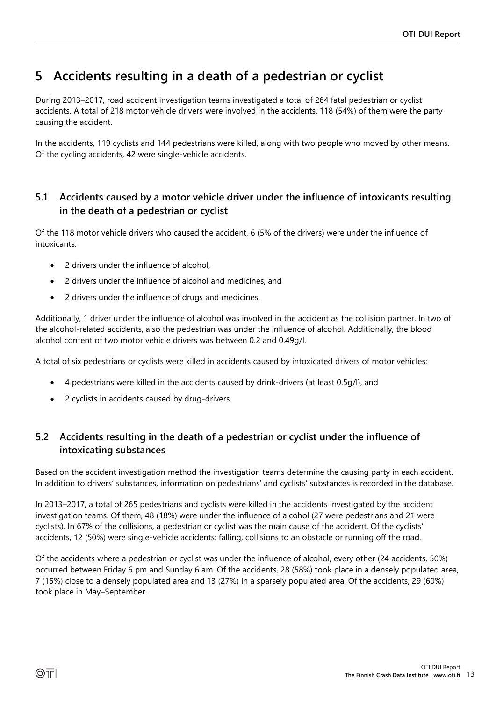## <span id="page-12-0"></span>**5 Accidents resulting in a death of a pedestrian or cyclist**

During 2013–2017, road accident investigation teams investigated a total of 264 fatal pedestrian or cyclist accidents. A total of 218 motor vehicle drivers were involved in the accidents. 118 (54%) of them were the party causing the accident.

In the accidents, 119 cyclists and 144 pedestrians were killed, along with two people who moved by other means. Of the cycling accidents, 42 were single-vehicle accidents.

#### <span id="page-12-1"></span>**5.1 Accidents caused by a motor vehicle driver under the influence of intoxicants resulting in the death of a pedestrian or cyclist**

Of the 118 motor vehicle drivers who caused the accident, 6 (5% of the drivers) were under the influence of intoxicants:

- 2 drivers under the influence of alcohol,
- 2 drivers under the influence of alcohol and medicines, and
- 2 drivers under the influence of drugs and medicines.

Additionally, 1 driver under the influence of alcohol was involved in the accident as the collision partner. In two of the alcohol-related accidents, also the pedestrian was under the influence of alcohol. Additionally, the blood alcohol content of two motor vehicle drivers was between 0.2 and 0.49g/l.

A total of six pedestrians or cyclists were killed in accidents caused by intoxicated drivers of motor vehicles:

- 4 pedestrians were killed in the accidents caused by drink-drivers (at least 0.5g/l), and
- 2 cyclists in accidents caused by drug-drivers.

#### <span id="page-12-2"></span>**5.2 Accidents resulting in the death of a pedestrian or cyclist under the influence of intoxicating substances**

Based on the accident investigation method the investigation teams determine the causing party in each accident. In addition to drivers' substances, information on pedestrians' and cyclists' substances is recorded in the database.

In 2013–2017, a total of 265 pedestrians and cyclists were killed in the accidents investigated by the accident investigation teams. Of them, 48 (18%) were under the influence of alcohol (27 were pedestrians and 21 were cyclists). In 67% of the collisions, a pedestrian or cyclist was the main cause of the accident. Of the cyclists' accidents, 12 (50%) were single-vehicle accidents: falling, collisions to an obstacle or running off the road.

Of the accidents where a pedestrian or cyclist was under the influence of alcohol, every other (24 accidents, 50%) occurred between Friday 6 pm and Sunday 6 am. Of the accidents, 28 (58%) took place in a densely populated area, 7 (15%) close to a densely populated area and 13 (27%) in a sparsely populated area. Of the accidents, 29 (60%) took place in May–September.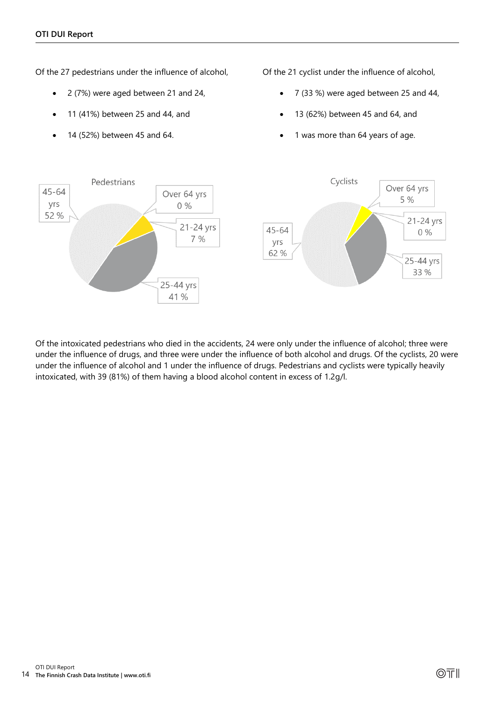Of the 27 pedestrians under the influence of alcohol,

- 2 (7%) were aged between 21 and 24,
- 11 (41%) between 25 and 44, and
- 14 (52%) between 45 and 64.

Of the 21 cyclist under the influence of alcohol,

- 7 (33 %) were aged between 25 and 44,
- 13 (62%) between 45 and 64, and
- 1 was more than 64 years of age.



Of the intoxicated pedestrians who died in the accidents, 24 were only under the influence of alcohol; three were under the influence of drugs, and three were under the influence of both alcohol and drugs. Of the cyclists, 20 were under the influence of alcohol and 1 under the influence of drugs. Pedestrians and cyclists were typically heavily intoxicated, with 39 (81%) of them having a blood alcohol content in excess of 1.2g/l.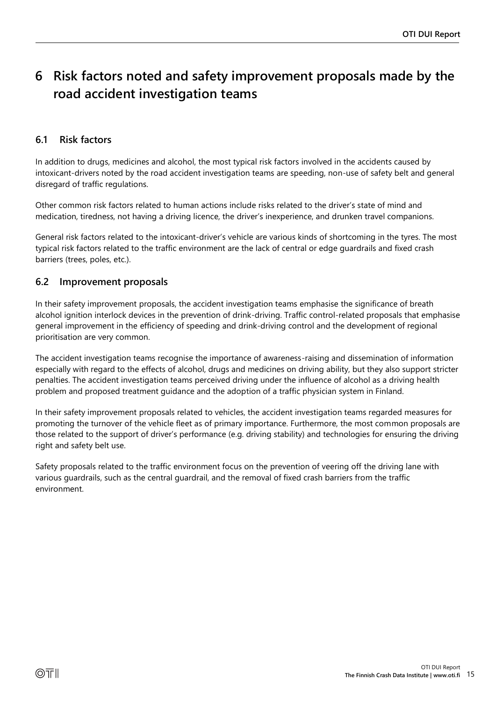## <span id="page-14-0"></span>**6 Risk factors noted and safety improvement proposals made by the road accident investigation teams**

#### <span id="page-14-1"></span>**6.1 Risk factors**

In addition to drugs, medicines and alcohol, the most typical risk factors involved in the accidents caused by intoxicant-drivers noted by the road accident investigation teams are speeding, non-use of safety belt and general disregard of traffic regulations.

Other common risk factors related to human actions include risks related to the driver's state of mind and medication, tiredness, not having a driving licence, the driver's inexperience, and drunken travel companions.

General risk factors related to the intoxicant-driver's vehicle are various kinds of shortcoming in the tyres. The most typical risk factors related to the traffic environment are the lack of central or edge guardrails and fixed crash barriers (trees, poles, etc.).

#### <span id="page-14-2"></span>**6.2 Improvement proposals**

In their safety improvement proposals, the accident investigation teams emphasise the significance of breath alcohol ignition interlock devices in the prevention of drink-driving. Traffic control-related proposals that emphasise general improvement in the efficiency of speeding and drink-driving control and the development of regional prioritisation are very common.

The accident investigation teams recognise the importance of awareness-raising and dissemination of information especially with regard to the effects of alcohol, drugs and medicines on driving ability, but they also support stricter penalties. The accident investigation teams perceived driving under the influence of alcohol as a driving health problem and proposed treatment guidance and the adoption of a traffic physician system in Finland.

In their safety improvement proposals related to vehicles, the accident investigation teams regarded measures for promoting the turnover of the vehicle fleet as of primary importance. Furthermore, the most common proposals are those related to the support of driver's performance (e.g. driving stability) and technologies for ensuring the driving right and safety belt use.

Safety proposals related to the traffic environment focus on the prevention of veering off the driving lane with various guardrails, such as the central guardrail, and the removal of fixed crash barriers from the traffic environment.